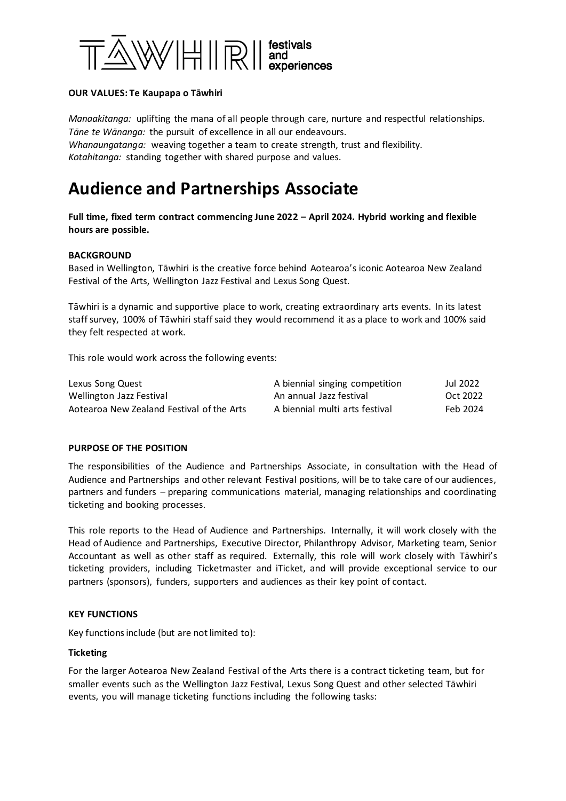

## **OUR VALUES: Te Kaupapa o Tāwhiri**

*Manaakitanga:* uplifting the mana of all people through care, nurture and respectful relationships. *Tāne te Wānanga:* the pursuit of excellence in all our endeavours. *Whanaungatanga:* weaving together a team to create strength, trust and flexibility. *Kotahitanga:* standing together with shared purpose and values.

# **Audience and Partnerships Associate**

**Full time, fixed term contract commencing June 2022 – April 2024. Hybrid working and flexible hours are possible.**

### **BACKGROUND**

Based in Wellington, Tāwhiri is the creative force behind Aotearoa's iconic Aotearoa New Zealand Festival of the Arts, Wellington Jazz Festival and Lexus Song Quest.

Tāwhiri is a dynamic and supportive place to work, creating extraordinary arts events. In its latest staff survey, 100% of Tāwhiri staff said they would recommend it as a place to work and 100% said they felt respected at work.

This role would work across the following events:

| Lexus Song Quest                          | A biennial singing competition | Jul 2022 |
|-------------------------------------------|--------------------------------|----------|
| Wellington Jazz Festival                  | An annual Jazz festival        | Oct 2022 |
| Aotearoa New Zealand Festival of the Arts | A biennial multi arts festival | Feb 2024 |

### **PURPOSE OF THE POSITION**

The responsibilities of the Audience and Partnerships Associate, in consultation with the Head of Audience and Partnerships and other relevant Festival positions, will be to take care of our audiences, partners and funders – preparing communications material, managing relationships and coordinating ticketing and booking processes.

This role reports to the Head of Audience and Partnerships. Internally, it will work closely with the Head of Audience and Partnerships, Executive Director, Philanthropy Advisor, Marketing team, Senior Accountant as well as other staff as required. Externally, this role will work closely with Tāwhiri's ticketing providers, including Ticketmaster and iTicket, and will provide exceptional service to our partners (sponsors), funders, supporters and audiences as their key point of contact.

### **KEY FUNCTIONS**

Key functions include (but are not limited to):

### **Ticketing**

For the larger Aotearoa New Zealand Festival of the Arts there is a contract ticketing team, but for smaller events such as the Wellington Jazz Festival, Lexus Song Quest and other selected Tāwhiri events, you will manage ticketing functions including the following tasks: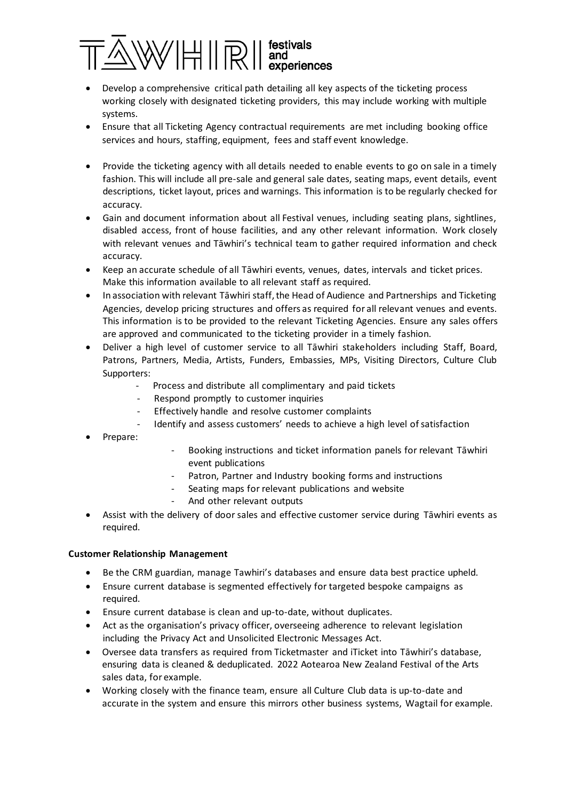

- Develop a comprehensive critical path detailing all key aspects of the ticketing process working closely with designated ticketing providers, this may include working with multiple systems.
- Ensure that all Ticketing Agency contractual requirements are met including booking office services and hours, staffing, equipment, fees and staff event knowledge.
- Provide the ticketing agency with all details needed to enable events to go on sale in a timely fashion. This will include all pre-sale and general sale dates, seating maps, event details, event descriptions, ticket layout, prices and warnings. This information is to be regularly checked for accuracy.
- Gain and document information about all Festival venues, including seating plans, sightlines, disabled access, front of house facilities, and any other relevant information. Work closely with relevant venues and Tāwhiri's technical team to gather required information and check accuracy.
- Keep an accurate schedule of all Tāwhiri events, venues, dates, intervals and ticket prices. Make this information available to all relevant staff as required.
- In association with relevant Tāwhiri staff, the Head of Audience and Partnerships and Ticketing Agencies, develop pricing structures and offers as required for all relevant venues and events. This information is to be provided to the relevant Ticketing Agencies. Ensure any sales offers are approved and communicated to the ticketing provider in a timely fashion.
- Deliver a high level of customer service to all Tāwhiri stakeholders including Staff, Board, Patrons, Partners, Media, Artists, Funders, Embassies, MPs, Visiting Directors, Culture Club Supporters:
	- Process and distribute all complimentary and paid tickets
	- Respond promptly to customer inquiries
	- Effectively handle and resolve customer complaints
	- Identify and assess customers' needs to achieve a high level of satisfaction
- Prepare:
- Booking instructions and ticket information panels for relevant Tāwhiri event publications
- Patron, Partner and Industry booking forms and instructions
- Seating maps for relevant publications and website
	- And other relevant outputs
- Assist with the delivery of door sales and effective customer service during Tāwhiri events as required.

# **Customer Relationship Management**

- Be the CRM guardian, manage Tawhiri's databases and ensure data best practice upheld.
- Ensure current database is segmented effectively for targeted bespoke campaigns as required.
- Ensure current database is clean and up-to-date, without duplicates.
- Act as the organisation's privacy officer, overseeing adherence to relevant legislation including the Privacy Act and Unsolicited Electronic Messages Act.
- Oversee data transfers as required from Ticketmaster and iTicket into Tāwhiri's database, ensuring data is cleaned & deduplicated. 2022 Aotearoa New Zealand Festival of the Arts sales data, for example.
- Working closely with the finance team, ensure all Culture Club data is up-to-date and accurate in the system and ensure this mirrors other business systems, Wagtail for example.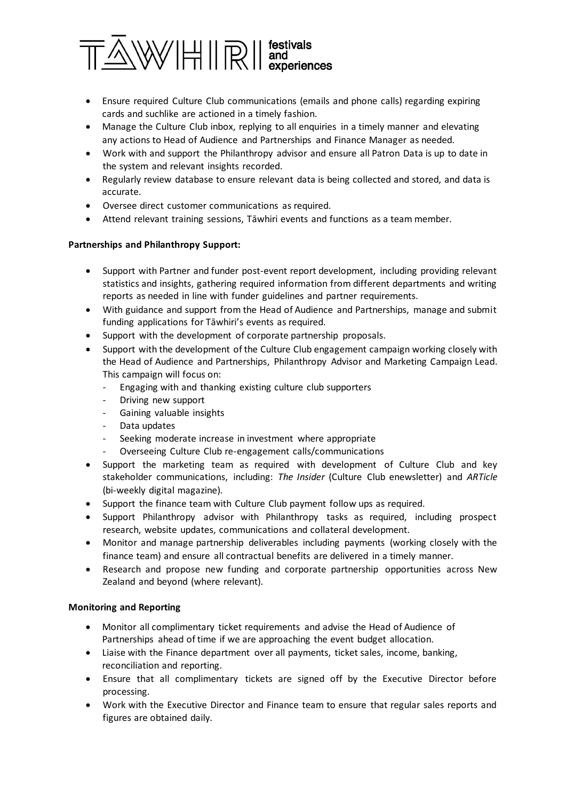

- Ensure required Culture Club communications (emails and phone calls) regarding expiring cards and suchlike are actioned in a timely fashion.
- Manage the Culture Club inbox, replying to all enquiries in a timely manner and elevating any actions to Head of Audience and Partnerships and Finance Manager as needed.
- Work with and support the Philanthropy advisor and ensure all Patron Data is up to date in the system and relevant insights recorded.
- Regularly review database to ensure relevant data is being collected and stored, and data is accurate.
- Oversee direct customer communications as required.
- Attend relevant training sessions, Tāwhiri events and functions as a team member.

# **Partnerships and Philanthropy Support:**

- Support with Partner and funder post-event report development, including providing relevant statistics and insights, gathering required information from different departments and writing reports as needed in line with funder guidelines and partner requirements.
- With guidance and support from the Head of Audience and Partnerships, manage and submit funding applications for Tāwhiri's events as required.
- Support with the development of corporate partnership proposals.
- Support with the development of the Culture Club engagement campaign working closely with the Head of Audience and Partnerships, Philanthropy Advisor and Marketing Campaign Lead. This campaign will focus on:
	- Engaging with and thanking existing culture club supporters
	- Driving new support
	- Gaining valuable insights
	- Data updates
	- Seeking moderate increase in investment where appropriate
	- Overseeing Culture Club re-engagement calls/communications
- Support the marketing team as required with development of Culture Club and key stakeholder communications, including: *The Insider* (Culture Club enewsletter) and *ARTicle* (bi-weekly digital magazine).
- Support the finance team with Culture Club payment follow ups as required.
- Support Philanthropy advisor with Philanthropy tasks as required, including prospect research, website updates, communications and collateral development.
- Monitor and manage partnership deliverables including payments (working closely with the finance team) and ensure all contractual benefits are delivered in a timely manner.
- Research and propose new funding and corporate partnership opportunities across New Zealand and beyond (where relevant).

# **Monitoring and Reporting**

- Monitor all complimentary ticket requirements and advise the Head of Audience of Partnerships ahead of time if we are approaching the event budget allocation.
- Liaise with the Finance department over all payments, ticket sales, income, banking, reconciliation and reporting.
- Ensure that all complimentary tickets are signed off by the Executive Director before processing.
- Work with the Executive Director and Finance team to ensure that regular sales reports and figures are obtained daily.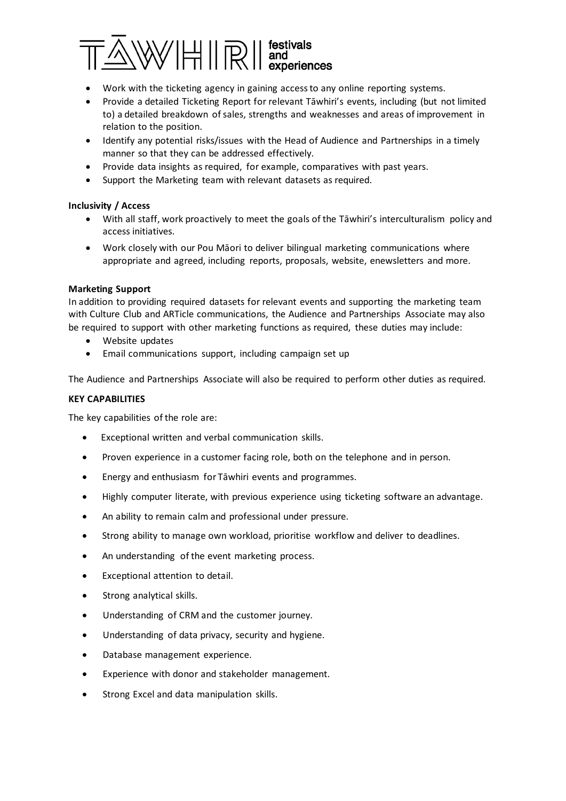

- Work with the ticketing agency in gaining access to any online reporting systems.
- Provide a detailed Ticketing Report for relevant Tāwhiri's events, including (but not limited to) a detailed breakdown of sales, strengths and weaknesses and areas of improvement in relation to the position.
- Identify any potential risks/issues with the Head of Audience and Partnerships in a timely manner so that they can be addressed effectively.
- Provide data insights as required, for example, comparatives with past years.
- Support the Marketing team with relevant datasets as required.

# **Inclusivity / Access**

- With all staff, work proactively to meet the goals of the Tāwhiri's interculturalism policy and access initiatives.
- Work closely with our Pou Māori to deliver bilingual marketing communications where appropriate and agreed, including reports, proposals, website, enewsletters and more.

## **Marketing Support**

In addition to providing required datasets for relevant events and supporting the marketing team with Culture Club and ARTicle communications, the Audience and Partnerships Associate may also be required to support with other marketing functions as required, these duties may include:

- Website updates
- Email communications support, including campaign set up

The Audience and Partnerships Associate will also be required to perform other duties as required.

## **KEY CAPABILITIES**

The key capabilities of the role are:

- Exceptional written and verbal communication skills.
- Proven experience in a customer facing role, both on the telephone and in person.
- Energy and enthusiasm for Tāwhiri events and programmes.
- Highly computer literate, with previous experience using ticketing software an advantage.
- An ability to remain calm and professional under pressure.
- Strong ability to manage own workload, prioritise workflow and deliver to deadlines.
- An understanding of the event marketing process.
- Exceptional attention to detail.
- Strong analytical skills.
- Understanding of CRM and the customer journey.
- Understanding of data privacy, security and hygiene.
- Database management experience.
- Experience with donor and stakeholder management.
- Strong Excel and data manipulation skills.